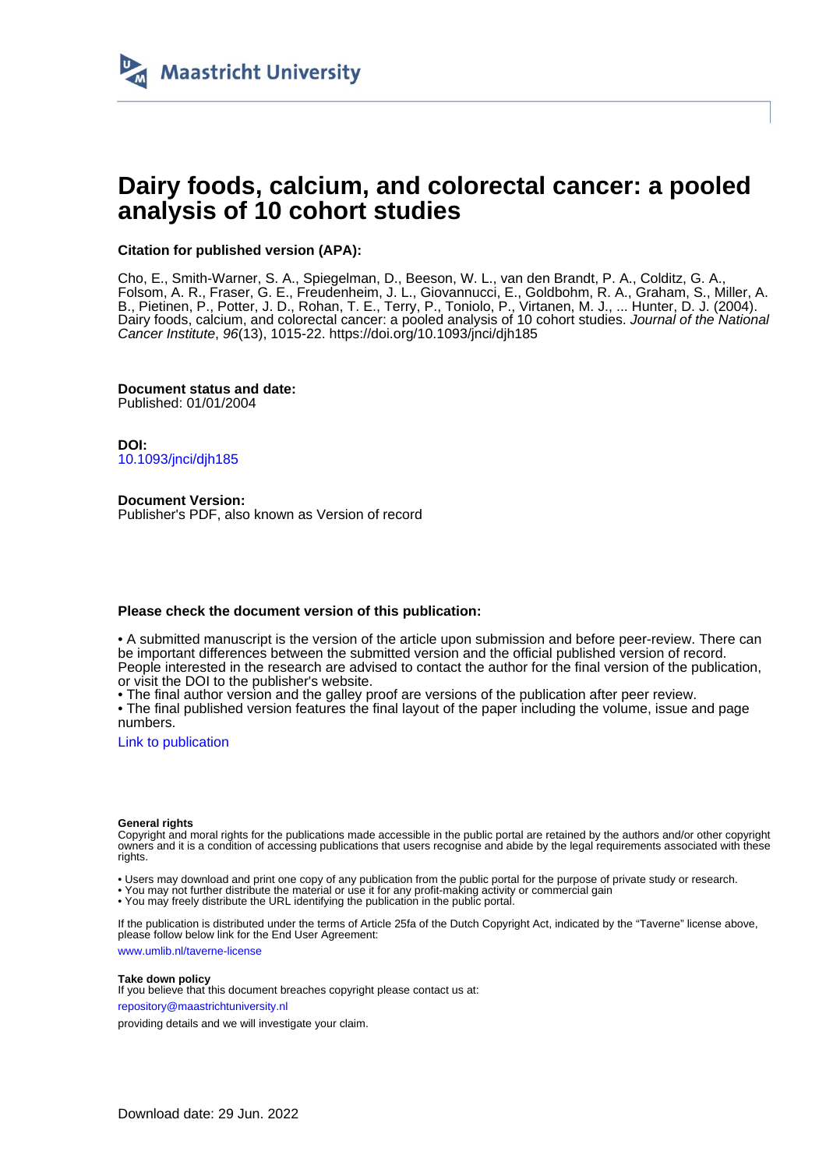

# **Dairy foods, calcium, and colorectal cancer: a pooled analysis of 10 cohort studies**

## **Citation for published version (APA):**

Cho, E., Smith-Warner, S. A., Spiegelman, D., Beeson, W. L., van den Brandt, P. A., Colditz, G. A., Folsom, A. R., Fraser, G. E., Freudenheim, J. L., Giovannucci, E., Goldbohm, R. A., Graham, S., Miller, A. B., Pietinen, P., Potter, J. D., Rohan, T. E., Terry, P., Toniolo, P., Virtanen, M. J., ... Hunter, D. J. (2004). Dairy foods, calcium, and colorectal cancer: a pooled analysis of 10 cohort studies. Journal of the National Cancer Institute, 96(13), 1015-22.<https://doi.org/10.1093/jnci/djh185>

**Document status and date:** Published: 01/01/2004

**DOI:** [10.1093/jnci/djh185](https://doi.org/10.1093/jnci/djh185)

**Document Version:** Publisher's PDF, also known as Version of record

#### **Please check the document version of this publication:**

• A submitted manuscript is the version of the article upon submission and before peer-review. There can be important differences between the submitted version and the official published version of record. People interested in the research are advised to contact the author for the final version of the publication, or visit the DOI to the publisher's website.

• The final author version and the galley proof are versions of the publication after peer review.

• The final published version features the final layout of the paper including the volume, issue and page numbers.

[Link to publication](https://cris.maastrichtuniversity.nl/en/publications/1bbfe0f3-a8f7-4004-9b16-edacba7007e6)

#### **General rights**

Copyright and moral rights for the publications made accessible in the public portal are retained by the authors and/or other copyright owners and it is a condition of accessing publications that users recognise and abide by the legal requirements associated with these rights.

• Users may download and print one copy of any publication from the public portal for the purpose of private study or research.

• You may not further distribute the material or use it for any profit-making activity or commercial gain

• You may freely distribute the URL identifying the publication in the public portal.

If the publication is distributed under the terms of Article 25fa of the Dutch Copyright Act, indicated by the "Taverne" license above, please follow below link for the End User Agreement:

www.umlib.nl/taverne-license

#### **Take down policy**

If you believe that this document breaches copyright please contact us at: repository@maastrichtuniversity.nl

providing details and we will investigate your claim.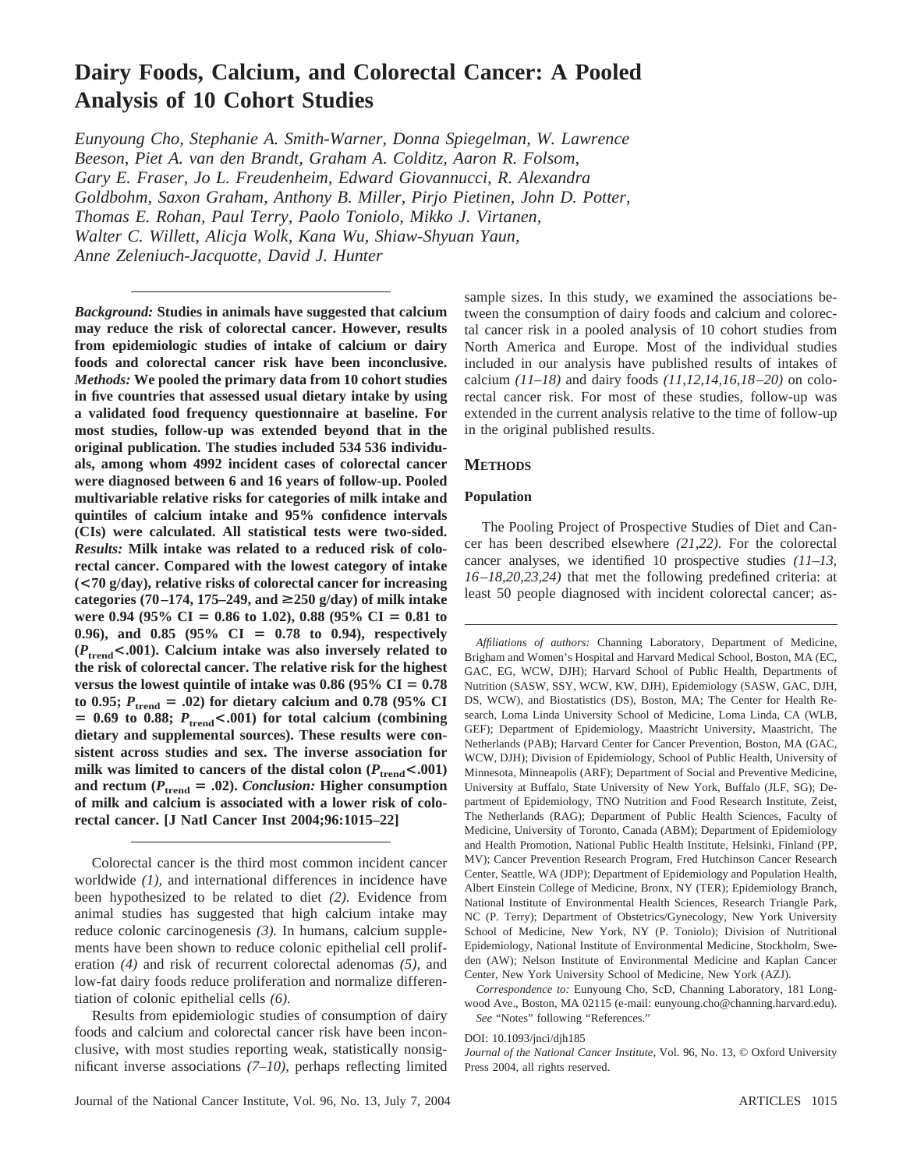## **Dairy Foods, Calcium, and Colorectal Cancer: A Pooled Analysis of 10 Cohort Studies**

*Eunyoung Cho, Stephanie A. Smith-Warner, Donna Spiegelman, W. Lawrence Beeson, Piet A. van den Brandt, Graham A. Colditz, Aaron R. Folsom, Gary E. Fraser, Jo L. Freudenheim, Edward Giovannucci, R. Alexandra Goldbohm, Saxon Graham, Anthony B. Miller, Pirjo Pietinen, John D. Potter, Thomas E. Rohan, Paul Terry, Paolo Toniolo, Mikko J. Virtanen, Walter C. Willett, Alicja Wolk, Kana Wu, Shiaw-Shyuan Yaun, Anne Zeleniuch-Jacquotte, David J. Hunter*

*Background:* **Studies in animals have suggested that calcium may reduce the risk of colorectal cancer. However, results from epidemiologic studies of intake of calcium or dairy foods and colorectal cancer risk have been inconclusive.** *Methods:* **We pooled the primary data from 10 cohort studies in five countries that assessed usual dietary intake by using a validated food frequency questionnaire at baseline. For most studies, follow-up was extended beyond that in the original publication. The studies included 534 536 individuals, among whom 4992 incident cases of colorectal cancer were diagnosed between 6 and 16 years of follow-up. Pooled multivariable relative risks for categories of milk intake and quintiles of calcium intake and 95% confidence intervals (CIs) were calculated. All statistical tests were two-sided.** *Results:* **Milk intake was related to a reduced risk of colorectal cancer. Compared with the lowest category of intake (<70 g/day), relative risks of colorectal cancer for increasing categories (70–174, 175–249, and** >**250 g/day) of milk intake** were 0.94 (95% CI = 0.86 to 1.02), 0.88 (95% CI = 0.81 to 0.96), and 0.85 (95% CI = 0.78 to 0.94), respectively **(***P***trend<.001). Calcium intake was also inversely related to the risk of colorectal cancer. The relative risk for the highest** versus the lowest quintile of intake was  $0.86$  ( $95\%$  CI =  $0.78$ )  $\tau$  to 0.95;  $P_{\text{trend}} = .02$ ) for dietary calcium and 0.78 (95% CI  $= 0.69$  to 0.88;  $P_{\text{trend}} < .001$ ) for total calcium (combining **dietary and supplemental sources). These results were consistent across studies and sex. The inverse association for** milk was limited to cancers of the distal colon  $(P_{\text{trend}} < .001)$ and rectum ( $P_{\text{trend}} = .02$ ). *Conclusion:* **Higher consumption of milk and calcium is associated with a lower risk of colorectal cancer. [J Natl Cancer Inst 2004;96:1015–22]**

Colorectal cancer is the third most common incident cancer worldwide *(1),* and international differences in incidence have been hypothesized to be related to diet *(2).* Evidence from animal studies has suggested that high calcium intake may reduce colonic carcinogenesis *(3).* In humans, calcium supplements have been shown to reduce colonic epithelial cell proliferation *(4)* and risk of recurrent colorectal adenomas *(5),* and low-fat dairy foods reduce proliferation and normalize differentiation of colonic epithelial cells *(6).*

Results from epidemiologic studies of consumption of dairy foods and calcium and colorectal cancer risk have been inconclusive, with most studies reporting weak, statistically nonsignificant inverse associations *(7–10),* perhaps reflecting limited sample sizes. In this study, we examined the associations between the consumption of dairy foods and calcium and colorectal cancer risk in a pooled analysis of 10 cohort studies from North America and Europe. Most of the individual studies included in our analysis have published results of intakes of calcium *(11–18)* and dairy foods *(11,12,14,16,18–20)* on colorectal cancer risk. For most of these studies, follow-up was extended in the current analysis relative to the time of follow-up in the original published results.

#### **METHODS**

#### **Population**

The Pooling Project of Prospective Studies of Diet and Cancer has been described elsewhere *(21,22).* For the colorectal cancer analyses, we identified 10 prospective studies *(11–13, 16–18,20,23,24)* that met the following predefined criteria: at least 50 people diagnosed with incident colorectal cancer; as-

*Affiliations of authors:* Channing Laboratory, Department of Medicine, Brigham and Women's Hospital and Harvard Medical School, Boston, MA (EC, GAC, EG, WCW, DJH); Harvard School of Public Health, Departments of Nutrition (SASW, SSY, WCW, KW, DJH), Epidemiology (SASW, GAC, DJH, DS, WCW), and Biostatistics (DS), Boston, MA; The Center for Health Research, Loma Linda University School of Medicine, Loma Linda, CA (WLB, GEF); Department of Epidemiology, Maastricht University, Maastricht, The Netherlands (PAB); Harvard Center for Cancer Prevention, Boston, MA (GAC, WCW, DJH); Division of Epidemiology, School of Public Health, University of Minnesota, Minneapolis (ARF); Department of Social and Preventive Medicine, University at Buffalo, State University of New York, Buffalo (JLF, SG); Department of Epidemiology, TNO Nutrition and Food Research Institute, Zeist, The Netherlands (RAG); Department of Public Health Sciences, Faculty of Medicine, University of Toronto, Canada (ABM); Department of Epidemiology and Health Promotion, National Public Health Institute, Helsinki, Finland (PP, MV); Cancer Prevention Research Program, Fred Hutchinson Cancer Research Center, Seattle, WA (JDP); Department of Epidemiology and Population Health, Albert Einstein College of Medicine, Bronx, NY (TER); Epidemiology Branch, National Institute of Environmental Health Sciences, Research Triangle Park, NC (P. Terry); Department of Obstetrics/Gynecology, New York University School of Medicine, New York, NY (P. Toniolo); Division of Nutritional Epidemiology, National Institute of Environmental Medicine, Stockholm, Sweden (AW); Nelson Institute of Environmental Medicine and Kaplan Cancer Center, New York University School of Medicine, New York (AZJ).

*Correspondence to:* Eunyoung Cho, ScD, Channing Laboratory, 181 Longwood Ave., Boston, MA 02115 (e-mail: eunyoung.cho@channing.harvard.edu). *See* "Notes" following "References."

#### DOI: 10.1093/jnci/djh185

*Journal of the National Cancer Institute,* Vol. 96, No. 13, © Oxford University Press 2004, all rights reserved.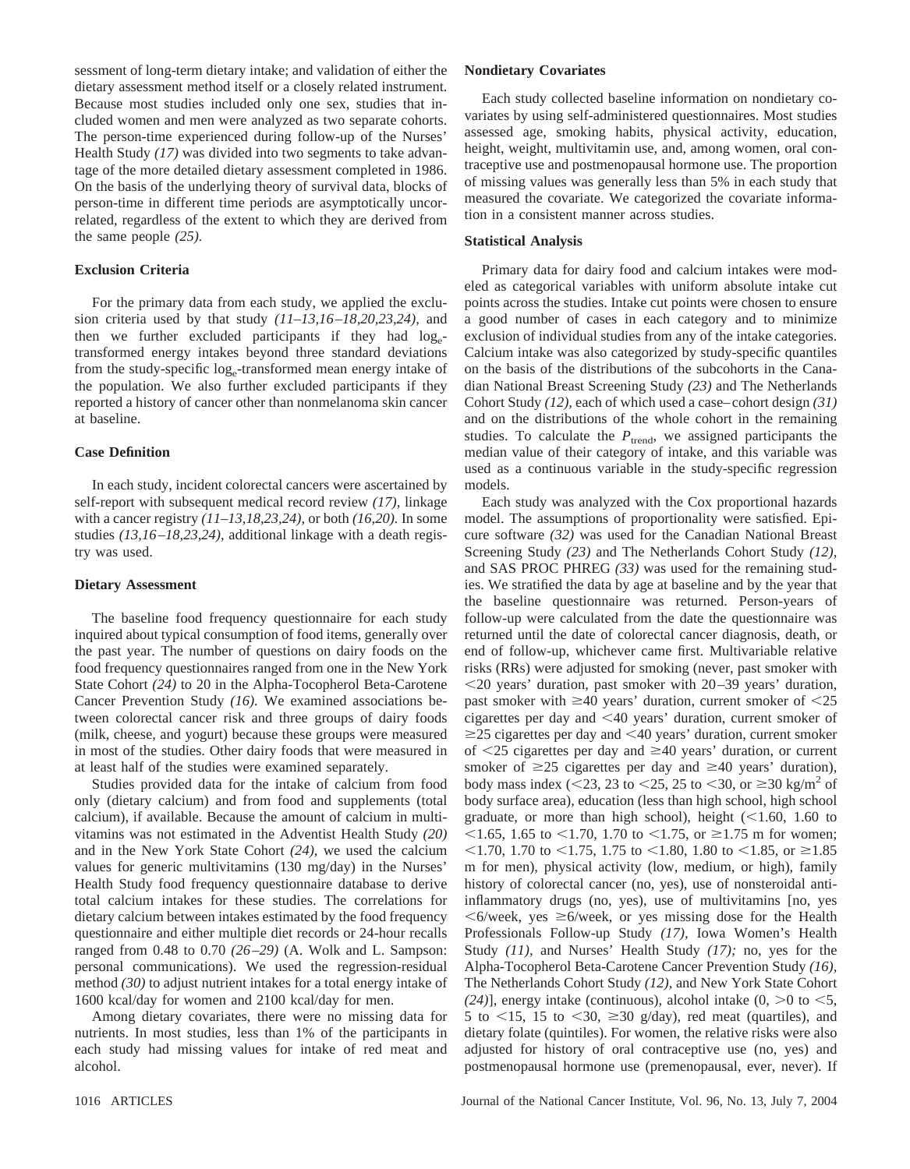sessment of long-term dietary intake; and validation of either the dietary assessment method itself or a closely related instrument. Because most studies included only one sex, studies that included women and men were analyzed as two separate cohorts. The person-time experienced during follow-up of the Nurses' Health Study *(17)* was divided into two segments to take advantage of the more detailed dietary assessment completed in 1986. On the basis of the underlying theory of survival data, blocks of person-time in different time periods are asymptotically uncorrelated, regardless of the extent to which they are derived from the same people *(25).*

#### **Exclusion Criteria**

For the primary data from each study, we applied the exclusion criteria used by that study *(11–13,16–18,20,23,24),* and then we further excluded participants if they had  $log_{e^{-}}$ transformed energy intakes beyond three standard deviations from the study-specific  $log_e$ -transformed mean energy intake of the population. We also further excluded participants if they reported a history of cancer other than nonmelanoma skin cancer at baseline.

#### **Case Definition**

In each study, incident colorectal cancers were ascertained by self-report with subsequent medical record review *(17),* linkage with a cancer registry *(11–13,18,23,24),* or both *(16,20).* In some studies *(13,16–18,23,24),* additional linkage with a death registry was used.

#### **Dietary Assessment**

The baseline food frequency questionnaire for each study inquired about typical consumption of food items, generally over the past year. The number of questions on dairy foods on the food frequency questionnaires ranged from one in the New York State Cohort *(24)* to 20 in the Alpha-Tocopherol Beta-Carotene Cancer Prevention Study *(16).* We examined associations between colorectal cancer risk and three groups of dairy foods (milk, cheese, and yogurt) because these groups were measured in most of the studies. Other dairy foods that were measured in at least half of the studies were examined separately.

Studies provided data for the intake of calcium from food only (dietary calcium) and from food and supplements (total calcium), if available. Because the amount of calcium in multivitamins was not estimated in the Adventist Health Study *(20)* and in the New York State Cohort *(24),* we used the calcium values for generic multivitamins (130 mg/day) in the Nurses' Health Study food frequency questionnaire database to derive total calcium intakes for these studies. The correlations for dietary calcium between intakes estimated by the food frequency questionnaire and either multiple diet records or 24-hour recalls ranged from 0.48 to 0.70 *(26–29)* (A. Wolk and L. Sampson: personal communications). We used the regression-residual method *(30)* to adjust nutrient intakes for a total energy intake of 1600 kcal/day for women and 2100 kcal/day for men.

Among dietary covariates, there were no missing data for nutrients. In most studies, less than 1% of the participants in each study had missing values for intake of red meat and alcohol.

Each study collected baseline information on nondietary covariates by using self-administered questionnaires. Most studies assessed age, smoking habits, physical activity, education, height, weight, multivitamin use, and, among women, oral contraceptive use and postmenopausal hormone use. The proportion of missing values was generally less than 5% in each study that measured the covariate. We categorized the covariate information in a consistent manner across studies.

#### **Statistical Analysis**

Primary data for dairy food and calcium intakes were modeled as categorical variables with uniform absolute intake cut points across the studies. Intake cut points were chosen to ensure a good number of cases in each category and to minimize exclusion of individual studies from any of the intake categories. Calcium intake was also categorized by study-specific quantiles on the basis of the distributions of the subcohorts in the Canadian National Breast Screening Study *(23)* and The Netherlands Cohort Study *(12),* each of which used a case–cohort design *(31)* and on the distributions of the whole cohort in the remaining studies. To calculate the  $P_{\text{trend}}$ , we assigned participants the median value of their category of intake, and this variable was used as a continuous variable in the study-specific regression models.

Each study was analyzed with the Cox proportional hazards model. The assumptions of proportionality were satisfied. Epicure software *(32)* was used for the Canadian National Breast Screening Study *(23)* and The Netherlands Cohort Study *(12),* and SAS PROC PHREG *(33)* was used for the remaining studies. We stratified the data by age at baseline and by the year that the baseline questionnaire was returned. Person-years of follow-up were calculated from the date the questionnaire was returned until the date of colorectal cancer diagnosis, death, or end of follow-up, whichever came first. Multivariable relative risks (RRs) were adjusted for smoking (never, past smoker with 20 years' duration, past smoker with 20–39 years' duration, past smoker with  $\geq 40$  years' duration, current smoker of  $\leq 25$ cigarettes per day and  $\leq 40$  years' duration, current smoker of  $\geq$ 25 cigarettes per day and  $\leq$ 40 years' duration, current smoker of  $\leq$ 25 cigarettes per day and  $\geq$ 40 years' duration, or current smoker of  $\geq$ 25 cigarettes per day and  $\geq$ 40 years' duration), body mass index (<23, 23 to <25, 25 to <30, or  $\geq 30$  kg/m<sup>2</sup> of body surface area), education (less than high school, high school graduate, or more than high school), height  $(<1.60, 1.60$  to  $1.65$ , 1.65 to  $1.70$ , 1.70 to  $1.75$ , or  $\geq 1.75$  m for women;  $1.70$ , 1.70 to  $1.75$ , 1.75 to  $1.80$ , 1.80 to  $1.85$ , or  $\geq 1.85$ m for men), physical activity (low, medium, or high), family history of colorectal cancer (no, yes), use of nonsteroidal antiinflammatory drugs (no, yes), use of multivitamins [no, yes  $<$  6/week, yes  $\geq$  6/week, or yes missing dose for the Health Professionals Follow-up Study *(17),* Iowa Women's Health Study *(11),* and Nurses' Health Study *(17);* no, yes for the Alpha-Tocopherol Beta-Carotene Cancer Prevention Study *(16),* The Netherlands Cohort Study *(12),* and New York State Cohort  $(24)$ ], energy intake (continuous), alcohol intake  $(0, >0$  to  $< 5$ , 5 to  $\lt 15$ , 15 to  $\lt 30$ ,  $\ge 30$  g/day), red meat (quartiles), and dietary folate (quintiles). For women, the relative risks were also adjusted for history of oral contraceptive use (no, yes) and postmenopausal hormone use (premenopausal, ever, never). If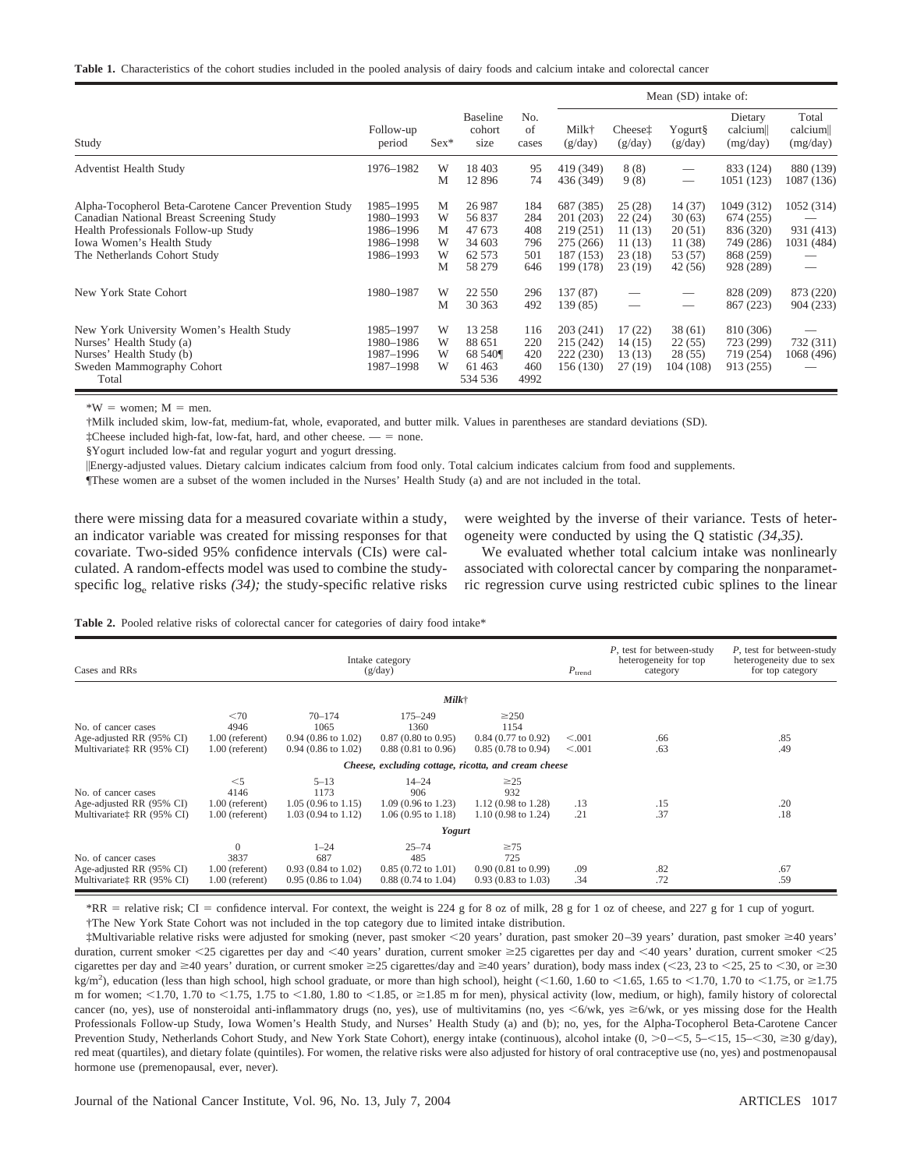| <b>Table 1.</b> Characteristics of the cohort studies included in the pooled analysis of dairy foods and calcium intake and colorectal cancer |  |  |  |  |  |  |  |  |
|-----------------------------------------------------------------------------------------------------------------------------------------------|--|--|--|--|--|--|--|--|
|                                                                                                                                               |  |  |  |  |  |  |  |  |

|                                                                                                                                                                                                         |                                                               |                            |                                                          |                                        | Mean (SD) intake of:                                                       |                                                           |                                                            |                                                                             |                                       |
|---------------------------------------------------------------------------------------------------------------------------------------------------------------------------------------------------------|---------------------------------------------------------------|----------------------------|----------------------------------------------------------|----------------------------------------|----------------------------------------------------------------------------|-----------------------------------------------------------|------------------------------------------------------------|-----------------------------------------------------------------------------|---------------------------------------|
| Study                                                                                                                                                                                                   | Follow-up<br>period                                           | $Sex*$                     | <b>Baseline</b><br>cohort<br>size                        | No.<br>of<br>cases                     | Milk†<br>(g/day)                                                           | Cheese <sup>†</sup><br>(g/day)                            | Yogurt§<br>(g/day)                                         | Dietary<br>calcium<br>(mg/day)                                              | Total<br>calcium<br>(mg/day)          |
| <b>Adventist Health Study</b>                                                                                                                                                                           | 1976-1982                                                     | W<br>M                     | 18 403<br>12896                                          | 95<br>74                               | 419 (349)<br>436 (349)                                                     | 8(8)<br>9(8)                                              | $\hspace{0.05cm}$<br>$\hspace{0.05cm}$                     | 833 (124)<br>1051 (123)                                                     | 880 (139)<br>1087 (136)               |
| Alpha-Tocopherol Beta-Carotene Cancer Prevention Study<br>Canadian National Breast Screening Study<br>Health Professionals Follow-up Study<br>Iowa Women's Health Study<br>The Netherlands Cohort Study | 1985-1995<br>1980-1993<br>1986-1996<br>1986-1998<br>1986-1993 | М<br>W<br>М<br>W<br>W<br>M | 26 987<br>56 837<br>47 673<br>34 603<br>62 573<br>58 279 | 184<br>284<br>408<br>796<br>501<br>646 | 687 (385)<br>201 (203)<br>219 (251)<br>275 (266)<br>187 (153)<br>199 (178) | 25(28)<br>22(24)<br>11 (13)<br>11(13)<br>23(18)<br>23(19) | 14(37)<br>30(63)<br>20(51)<br>11 (38)<br>53 (57)<br>42(56) | 1049 (312)<br>674 (255)<br>836 (320)<br>749 (286)<br>868 (259)<br>928 (289) | 1052 (314)<br>931 (413)<br>1031 (484) |
| New York State Cohort                                                                                                                                                                                   | 1980-1987                                                     | W<br>М                     | 22 5 5 0<br>30 363                                       | 296<br>492                             | 137 (87)<br>139 (85)                                                       |                                                           | $\hspace{0.05cm}$                                          | 828 (209)<br>867 (223)                                                      | 873 (220)<br>904 (233)                |
| New York University Women's Health Study<br>Nurses' Health Study (a)<br>Nurses' Health Study (b)<br>Sweden Mammography Cohort<br>Total                                                                  | 1985-1997<br>1980-1986<br>1987-1996<br>1987-1998              | W<br>W<br>W<br>W           | 13 258<br>88 651<br>68 540¶<br>61463<br>534 536          | 116<br>220<br>420<br>460<br>4992       | 203(241)<br>215 (242)<br>222 (230)<br>156 (130)                            | 17(22)<br>14(15)<br>13(13)<br>27(19)                      | 38 (61)<br>22(55)<br>28 (55)<br>104 (108)                  | 810 (306)<br>723 (299)<br>719 (254)<br>913 (255)                            | 732 (311)<br>1068 (496)               |

 $*W =$  women:  $M =$  men.

†Milk included skim, low-fat, medium-fat, whole, evaporated, and butter milk. Values in parentheses are standard deviations (SD).

 $\dot{\tau}$ Cheese included high-fat, low-fat, hard, and other cheese.  $\dot{\tau}$  = none.

§Yogurt included low-fat and regular yogurt and yogurt dressing.

Energy-adjusted values. Dietary calcium indicates calcium from food only. Total calcium indicates calcium from food and supplements.

¶These women are a subset of the women included in the Nurses' Health Study (a) and are not included in the total.

there were missing data for a measured covariate within a study, an indicator variable was created for missing responses for that covariate. Two-sided 95% confidence intervals (CIs) were calculated. A random-effects model was used to combine the studyspecific  $log_e$  relative risks  $(34)$ ; the study-specific relative risks were weighted by the inverse of their variance. Tests of heterogeneity were conducted by using the Q statistic *(34,35).*

We evaluated whether total calcium intake was nonlinearly associated with colorectal cancer by comparing the nonparametric regression curve using restricted cubic splines to the linear

Table 2. Pooled relative risks of colorectal cancer for categories of dairy food intake\*

| Cases and RRs                                                                            |                                                            | $P_{\text{trend}}$                                                                 | P, test for between-study<br>heterogeneity for top<br>category                        | P, test for between-study<br>heterogeneity due to sex<br>for top category          |                    |            |            |
|------------------------------------------------------------------------------------------|------------------------------------------------------------|------------------------------------------------------------------------------------|---------------------------------------------------------------------------------------|------------------------------------------------------------------------------------|--------------------|------------|------------|
|                                                                                          |                                                            |                                                                                    | $Milk\uparrow$                                                                        |                                                                                    |                    |            |            |
| No. of cancer cases<br>Age-adjusted RR (95% CI)<br>Multivariate <sup>†</sup> RR (95% CI) | <70<br>4946<br>$1.00$ (referent)<br>$1.00$ (referent)      | $70 - 174$<br>1065<br>$0.94$ (0.86 to 1.02)<br>$0.94$ (0.86 to 1.02)               | $175 - 249$<br>1360<br>$0.87(0.80 \text{ to } 0.95)$<br>$0.88(0.81 \text{ to } 0.96)$ | $\geq$ 250<br>1154<br>$0.84$ (0.77 to 0.92)<br>$0.85(0.78 \text{ to } 0.94)$       | < 0.001<br>< 0.001 | .66<br>.63 | .85<br>.49 |
|                                                                                          |                                                            |                                                                                    |                                                                                       | Cheese, excluding cottage, ricotta, and cream cheese                               |                    |            |            |
| No. of cancer cases<br>Age-adjusted RR (95% CI)<br>Multivariate: RR (95% CI)             | $\leq 5$<br>4146<br>$1.00$ (referent)<br>$1.00$ (referent) | $5 - 13$<br>1173<br>$1.05(0.96 \text{ to } 1.15)$<br>$1.03(0.94 \text{ to } 1.12)$ | $14 - 24$<br>906<br>$1.09(0.96 \text{ to } 1.23)$<br>$1.06(0.95 \text{ to } 1.18)$    | $\geq$ 25<br>932<br>1.12 (0.98 to 1.28)<br>$1.10(0.98 \text{ to } 1.24)$           | .13<br>.21         | .15<br>.37 | .20<br>.18 |
|                                                                                          |                                                            |                                                                                    | Yogurt                                                                                |                                                                                    |                    |            |            |
| No. of cancer cases<br>Age-adjusted RR (95% CI)<br>Multivariate <sup>†</sup> RR (95% CI) | $\Omega$<br>3837<br>$1.00$ (referent)<br>$1.00$ (referent) | $1 - 24$<br>687<br>$0.93(0.84 \text{ to } 1.02)$<br>$0.95(0.86 \text{ to } 1.04)$  | $25 - 74$<br>485<br>$0.85(0.72 \text{ to } 1.01)$<br>$0.88(0.74 \text{ to } 1.04)$    | $\geq 75$<br>725<br>$0.90(0.81 \text{ to } 0.99)$<br>$0.93(0.83 \text{ to } 1.03)$ | .09<br>.34         | .82<br>.72 | .67<br>.59 |

\*RR = relative risk; CI = confidence interval. For context, the weight is 224 g for 8 oz of milk, 28 g for 1 oz of cheese, and 227 g for 1 cup of yogurt. †The New York State Cohort was not included in the top category due to limited intake distribution.

‡Multivariable relative risks were adjusted for smoking (never, past smoker 20 years' duration, past smoker 20–39 years' duration, past smoker 40 years' duration, current smoker <25 cigarettes per day and <40 years' duration, current smoker ≥25 cigarettes per day and <40 years' duration, current smoker <25 cigarettes per day and  $\geq 40$  years' duration, or current smoker  $\geq 25$  cigarettes/day and  $\geq 40$  years' duration), body mass index (<23, 23 to <25, 25 to <30, or  $\geq 30$ kg/m<sup>2</sup>), education (less than high school, high school graduate, or more than high school), height (<1.60, 1.60 to <1.65, 1.65 to <1.70, 1.70 to <1.75, or  $\geq$ 1.75 m for women;  $\langle 1.70, 1.70 \text{ to } \langle 1.75, 1.75 \text{ to } \langle 1.80, 1.80 \text{ to } \langle 1.85, \text{ or } \rangle$  = 1.85 m for men), physical activity (low, medium, or high), family history of colorectal cancer (no, yes), use of nonsteroidal anti-inflammatory drugs (no, yes), use of multivitamins (no, yes  $\leq 6$ /wk, yes  $\geq 6$ /wk, or yes missing dose for the Health Professionals Follow-up Study, Iowa Women's Health Study, and Nurses' Health Study (a) and (b); no, yes, for the Alpha-Tocopherol Beta-Carotene Cancer Prevention Study, Netherlands Cohort Study, and New York State Cohort), energy intake (continuous), alcohol intake (0, >0-<5, 5-<15, 15-<30, ≥30 g/day), red meat (quartiles), and dietary folate (quintiles). For women, the relative risks were also adjusted for history of oral contraceptive use (no, yes) and postmenopausal hormone use (premenopausal, ever, never).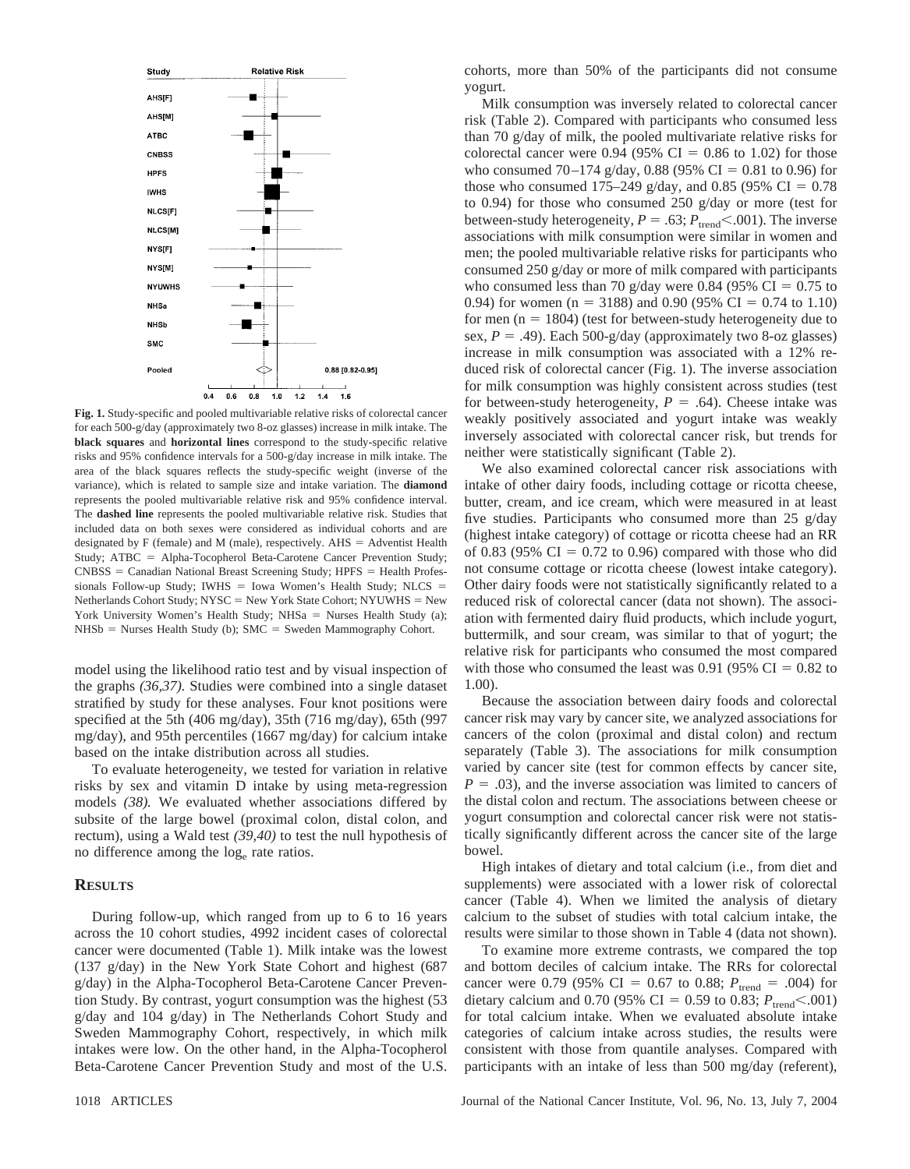

**Fig. 1.** Study-specific and pooled multivariable relative risks of colorectal cancer for each 500-g/day (approximately two 8-oz glasses) increase in milk intake. The **black squares** and **horizontal lines** correspond to the study-specific relative risks and 95% confidence intervals for a 500-g/day increase in milk intake. The area of the black squares reflects the study-specific weight (inverse of the variance), which is related to sample size and intake variation. The **diamond** represents the pooled multivariable relative risk and 95% confidence interval. The **dashed line** represents the pooled multivariable relative risk. Studies that included data on both sexes were considered as individual cohorts and are designated by F (female) and M (male), respectively.  $AHS =$  Adventist Health Study; ATBC = Alpha-Tocopherol Beta-Carotene Cancer Prevention Study;  $CNBSS = Canadian National Break Screening Study; HPFS = Health Professor$ sionals Follow-up Study; IWHS = Iowa Women's Health Study; NLCS = Netherlands Cohort Study;  $NYSC = New York State Cohort$ ;  $NYUWHS = New$ York University Women's Health Study;  $NHSa =$  Nurses Health Study (a);  $NHSB = Nurses Health Study (b); SMC = Sweden Mammography Cohort.$ 

model using the likelihood ratio test and by visual inspection of the graphs *(36,37).* Studies were combined into a single dataset stratified by study for these analyses. Four knot positions were specified at the 5th (406 mg/day), 35th (716 mg/day), 65th (997 mg/day), and 95th percentiles (1667 mg/day) for calcium intake based on the intake distribution across all studies.

To evaluate heterogeneity, we tested for variation in relative risks by sex and vitamin D intake by using meta-regression models *(38).* We evaluated whether associations differed by subsite of the large bowel (proximal colon, distal colon, and rectum), using a Wald test *(39,40)* to test the null hypothesis of no difference among the loge rate ratios.

#### **RESULTS**

During follow-up, which ranged from up to 6 to 16 years across the 10 cohort studies, 4992 incident cases of colorectal cancer were documented (Table 1). Milk intake was the lowest (137 g/day) in the New York State Cohort and highest (687 g/day) in the Alpha-Tocopherol Beta-Carotene Cancer Prevention Study. By contrast, yogurt consumption was the highest (53 g/day and 104 g/day) in The Netherlands Cohort Study and Sweden Mammography Cohort, respectively, in which milk intakes were low. On the other hand, in the Alpha-Tocopherol Beta-Carotene Cancer Prevention Study and most of the U.S.

cohorts, more than 50% of the participants did not consume yogurt.

Milk consumption was inversely related to colorectal cancer risk (Table 2). Compared with participants who consumed less than 70 g/day of milk, the pooled multivariate relative risks for colorectal cancer were 0.94 (95% CI =  $0.86$  to 1.02) for those who consumed 70–174 g/day, 0.88 (95% CI = 0.81 to 0.96) for those who consumed 175–249 g/day, and 0.85 (95% CI =  $0.78$ ) to 0.94) for those who consumed 250 g/day or more (test for between-study heterogeneity,  $P = .63$ ;  $P_{\text{trend}} < .001$ ). The inverse associations with milk consumption were similar in women and men; the pooled multivariable relative risks for participants who consumed 250 g/day or more of milk compared with participants who consumed less than 70 g/day were 0.84 (95% CI =  $0.75$  to 0.94) for women (n = 3188) and 0.90 (95% CI = 0.74 to 1.10) for men  $(n = 1804)$  (test for between-study heterogeneity due to sex,  $P = .49$ ). Each 500-g/day (approximately two 8-oz glasses) increase in milk consumption was associated with a 12% reduced risk of colorectal cancer (Fig. 1). The inverse association for milk consumption was highly consistent across studies (test for between-study heterogeneity,  $P = .64$ ). Cheese intake was weakly positively associated and yogurt intake was weakly inversely associated with colorectal cancer risk, but trends for neither were statistically significant (Table 2).

We also examined colorectal cancer risk associations with intake of other dairy foods, including cottage or ricotta cheese, butter, cream, and ice cream, which were measured in at least five studies. Participants who consumed more than 25 g/day (highest intake category) of cottage or ricotta cheese had an RR of 0.83 (95%  $CI = 0.72$  to 0.96) compared with those who did not consume cottage or ricotta cheese (lowest intake category). Other dairy foods were not statistically significantly related to a reduced risk of colorectal cancer (data not shown). The association with fermented dairy fluid products, which include yogurt, buttermilk, and sour cream, was similar to that of yogurt; the relative risk for participants who consumed the most compared with those who consumed the least was 0.91 (95%  $CI = 0.82$  to 1.00).

Because the association between dairy foods and colorectal cancer risk may vary by cancer site, we analyzed associations for cancers of the colon (proximal and distal colon) and rectum separately (Table 3). The associations for milk consumption varied by cancer site (test for common effects by cancer site,  $P = .03$ ), and the inverse association was limited to cancers of the distal colon and rectum. The associations between cheese or yogurt consumption and colorectal cancer risk were not statistically significantly different across the cancer site of the large bowel.

High intakes of dietary and total calcium (i.e., from diet and supplements) were associated with a lower risk of colorectal cancer (Table 4). When we limited the analysis of dietary calcium to the subset of studies with total calcium intake, the results were similar to those shown in Table 4 (data not shown).

To examine more extreme contrasts, we compared the top and bottom deciles of calcium intake. The RRs for colorectal cancer were 0.79 (95% CI = 0.67 to 0.88;  $P_{\text{trend}} = .004$ ) for dietary calcium and 0.70 (95% CI = 0.59 to 0.83;  $P_{\text{trend}} < .001$ ) for total calcium intake. When we evaluated absolute intake categories of calcium intake across studies, the results were consistent with those from quantile analyses. Compared with participants with an intake of less than 500 mg/day (referent),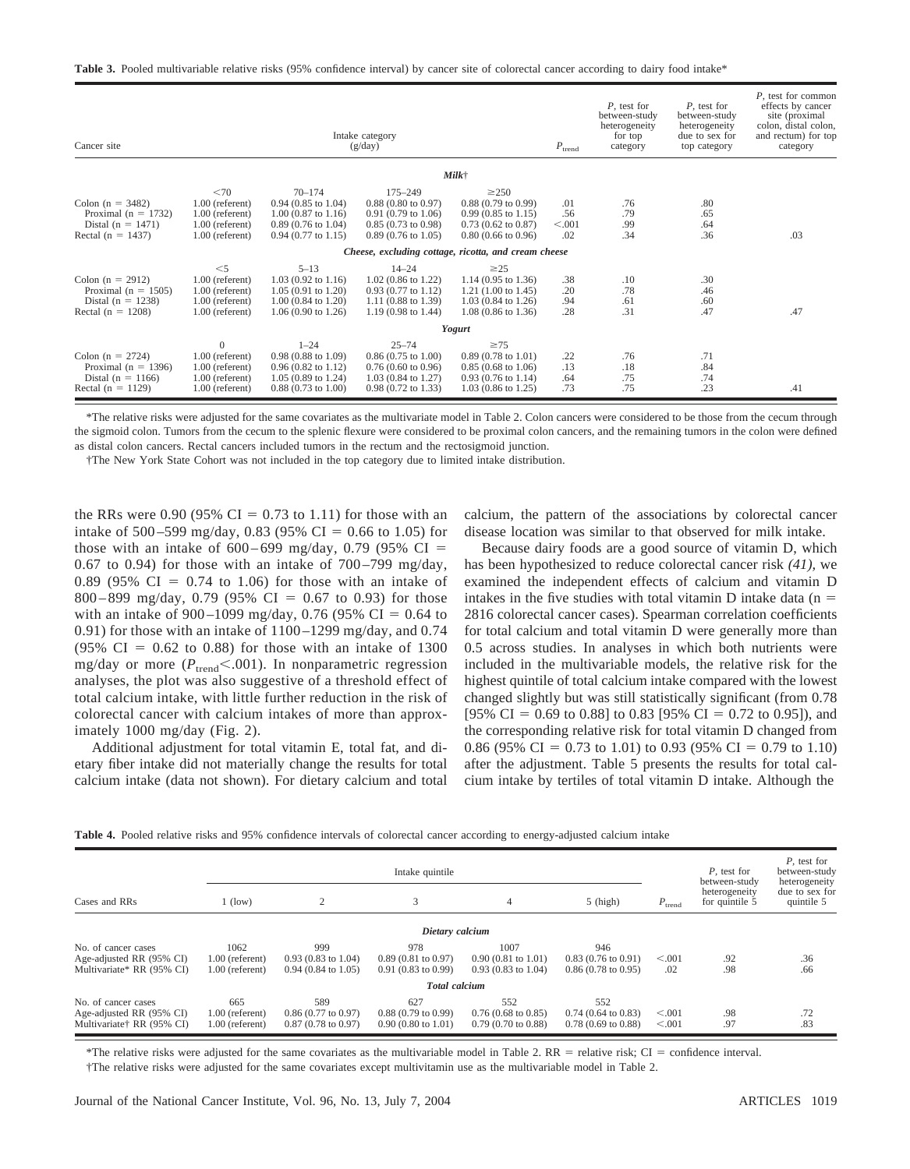|  |  | <b>Table 3.</b> Pooled multivariable relative risks (95% confidence interval) by cancer site of colorectal cancer according to dairy food intake* |  |
|--|--|---------------------------------------------------------------------------------------------------------------------------------------------------|--|
|  |  |                                                                                                                                                   |  |

| Cancer site             |                   | Intake category<br>(g/day)    | $P_{\text{trend}}$                                   | P, test for<br>between-study<br>heterogeneity<br>for top<br>category | P, test for<br>between-study<br>heterogeneity<br>due to sex for<br>top category | P, test for common<br>effects by cancer<br>site (proximal)<br>colon, distal colon,<br>and rectum) for top<br>category |     |     |
|-------------------------|-------------------|-------------------------------|------------------------------------------------------|----------------------------------------------------------------------|---------------------------------------------------------------------------------|-----------------------------------------------------------------------------------------------------------------------|-----|-----|
|                         |                   |                               |                                                      | $Milk\uparrow$                                                       |                                                                                 |                                                                                                                       |     |     |
|                         | <70               | $70 - 174$                    | $175 - 249$                                          | $\geq$ 250                                                           |                                                                                 |                                                                                                                       |     |     |
| Colon ( $n = 3482$ )    | $1.00$ (referent) | $0.94$ (0.85 to 1.04)         | $0.88$ (0.80 to 0.97)                                | $0.88(0.79 \text{ to } 0.99)$                                        | .01                                                                             | .76                                                                                                                   | .80 |     |
| Proximal ( $n = 1732$ ) | $1.00$ (referent) | $1.00$ (0.87 to 1.16)         | $0.91(0.79 \text{ to } 1.06)$                        | $0.99(0.85 \text{ to } 1.15)$                                        | .56                                                                             | .79                                                                                                                   | .65 |     |
| Distal ( $n = 1471$ )   | $1.00$ (referent) | $0.89(0.76 \text{ to } 1.04)$ | $0.85(0.73 \text{ to } 0.98)$                        | $0.73$ (0.62 to 0.87)                                                | < 0.001                                                                         | .99                                                                                                                   | .64 |     |
| Rectal ( $n = 1437$ )   | $1.00$ (referent) | $0.94$ (0.77 to 1.15)         | $0.89(0.76 \text{ to } 1.05)$                        | $0.80$ (0.66 to 0.96)                                                | .02                                                                             | .34                                                                                                                   | .36 | .03 |
|                         |                   |                               | Cheese, excluding cottage, ricotta, and cream cheese |                                                                      |                                                                                 |                                                                                                                       |     |     |
|                         | $<$ 5             | $5 - 13$                      | $14 - 24$                                            | $\geq$ 25                                                            |                                                                                 |                                                                                                                       |     |     |
| Colon $(n = 2912)$      | $1.00$ (referent) | $1.03$ (0.92 to 1.16)         | $1.02$ (0.86 to 1.22)                                | $1.14$ (0.95 to 1.36)                                                | .38                                                                             | .10                                                                                                                   | .30 |     |
| Proximal ( $n = 1505$ ) | $1.00$ (referent) | $1.05(0.91 \text{ to } 1.20)$ | $0.93$ (0.77 to 1.12)                                | 1.21 $(1.00 \text{ to } 1.45)$                                       | .20                                                                             | .78                                                                                                                   | .46 |     |
| Distal ( $n = 1238$ )   | $1.00$ (referent) | $1.00$ (0.84 to 1.20)         | $1.11(0.88 \text{ to } 1.39)$                        | $1.03(0.84 \text{ to } 1.26)$                                        | .94                                                                             | .61                                                                                                                   | .60 |     |
| Rectal ( $n = 1208$ )   | $1.00$ (referent) | $1.06(0.90 \text{ to } 1.26)$ | $1.19(0.98 \text{ to } 1.44)$                        | $1.08$ (0.86 to 1.36)                                                | .28                                                                             | .31                                                                                                                   | .47 | .47 |
|                         |                   |                               |                                                      | Yogurt                                                               |                                                                                 |                                                                                                                       |     |     |
|                         | $\mathbf{0}$      | $1 - 24$                      | $25 - 74$                                            | $\geq 75$                                                            |                                                                                 |                                                                                                                       |     |     |
| Colon ( $n = 2724$ )    | $1.00$ (referent) | $0.98(0.88 \text{ to } 1.09)$ | $0.86(0.75 \text{ to } 1.00)$                        | $0.89(0.78 \text{ to } 1.01)$                                        | .22                                                                             | .76                                                                                                                   | .71 |     |
| Proximal ( $n = 1396$ ) | $1.00$ (referent) | $0.96(0.82 \text{ to } 1.12)$ | $0.76(0.60 \text{ to } 0.96)$                        | $0.85(0.68 \text{ to } 1.06)$                                        | .13                                                                             | .18                                                                                                                   | .84 |     |
| Distal ( $n = 1166$ )   | $1.00$ (referent) | $1.05(0.89 \text{ to } 1.24)$ | $1.03$ (0.84 to 1.27)                                | $0.93$ (0.76 to 1.14)                                                | .64                                                                             | .75                                                                                                                   | .74 |     |
| Rectal $(n = 1129)$     | 1.00 (referent)   | $0.88(0.73 \text{ to } 1.00)$ | $0.98(0.72 \text{ to } 1.33)$                        | $1.03$ (0.86 to 1.25)                                                | .73                                                                             | .75                                                                                                                   | .23 | .41 |

\*The relative risks were adjusted for the same covariates as the multivariate model in Table 2. Colon cancers were considered to be those from the cecum through the sigmoid colon. Tumors from the cecum to the splenic flexure were considered to be proximal colon cancers, and the remaining tumors in the colon were defined as distal colon cancers. Rectal cancers included tumors in the rectum and the rectosigmoid junction.

†The New York State Cohort was not included in the top category due to limited intake distribution.

the RRs were 0.90 (95% CI = 0.73 to 1.11) for those with an intake of 500–599 mg/day, 0.83 (95% CI = 0.66 to 1.05) for those with an intake of  $600-699$  mg/day, 0.79 (95% CI = 0.67 to 0.94) for those with an intake of  $700-799$  mg/day, 0.89 (95%  $CI = 0.74$  to 1.06) for those with an intake of 800 – 899 mg/day, 0.79 (95% CI = 0.67 to 0.93) for those with an intake of 900–1099 mg/day, 0.76 (95% CI = 0.64 to 0.91) for those with an intake of  $1100 - 1299$  mg/day, and 0.74  $(95\% \text{ CI} = 0.62 \text{ to } 0.88)$  for those with an intake of 1300 mg/day or more ( $P_{\text{trend}} < .001$ ). In nonparametric regression analyses, the plot was also suggestive of a threshold effect of total calcium intake, with little further reduction in the risk of colorectal cancer with calcium intakes of more than approximately 1000 mg/day (Fig. 2).

Additional adjustment for total vitamin E, total fat, and dietary fiber intake did not materially change the results for total calcium intake (data not shown). For dietary calcium and total calcium, the pattern of the associations by colorectal cancer disease location was similar to that observed for milk intake.

Because dairy foods are a good source of vitamin D, which has been hypothesized to reduce colorectal cancer risk *(41),* we examined the independent effects of calcium and vitamin D intakes in the five studies with total vitamin D intake data  $(n =$ 2816 colorectal cancer cases). Spearman correlation coefficients for total calcium and total vitamin D were generally more than 0.5 across studies. In analyses in which both nutrients were included in the multivariable models, the relative risk for the highest quintile of total calcium intake compared with the lowest changed slightly but was still statistically significant (from 0.78 [95% CI = 0.69 to 0.88] to 0.83 [95% CI = 0.72 to 0.95]), and the corresponding relative risk for total vitamin D changed from 0.86 (95% CI = 0.73 to 1.01) to 0.93 (95% CI = 0.79 to 1.10) after the adjustment. Table 5 presents the results for total calcium intake by tertiles of total vitamin D intake. Although the

| Table 4. Pooled relative risks and 95% confidence intervals of colorectal cancer according to energy-adjusted calcium intake |  |
|------------------------------------------------------------------------------------------------------------------------------|--|
|------------------------------------------------------------------------------------------------------------------------------|--|

|                           |                   |                               | Intake quintile               |                               |                               |                                                       | P, test for<br>between-study | P, test for<br>between-study<br>heterogeneity |
|---------------------------|-------------------|-------------------------------|-------------------------------|-------------------------------|-------------------------------|-------------------------------------------------------|------------------------------|-----------------------------------------------|
| Cases and RRs             | $1$ (low)         | 2                             |                               | 4                             | $5$ (high)                    | heterogeneity<br>for quintile 5<br>$P_{\text{trend}}$ |                              | due to sex for<br>quintile 5                  |
|                           |                   |                               | Dietary calcium               |                               |                               |                                                       |                              |                                               |
| No. of cancer cases       | 1062              | 999                           | 978                           | 1007                          | 946                           |                                                       |                              |                                               |
| Age-adjusted RR (95% CI)  | $1.00$ (referent) | $0.93(0.83)$ to 1.04)         | $0.89(0.81)$ to $0.97$ )      | $0.90(0.81 \text{ to } 1.01)$ | $0.83(0.76 \text{ to } 0.91)$ | < 0.001                                               | .92                          | .36                                           |
| Multivariate* RR (95% CI) | 1.00 (referent)   | $0.94(0.84 \text{ to } 1.05)$ | $0.91(0.83 \text{ to } 0.99)$ | $0.93(0.83)$ to 1.04)         | $0.86(0.78 \text{ to } 0.95)$ | .02                                                   | .98                          | .66                                           |
|                           |                   |                               | <b>Total</b> calcium          |                               |                               |                                                       |                              |                                               |
| No. of cancer cases       | 665               | 589                           | 627                           | 552                           | 552                           |                                                       |                              |                                               |
| Age-adjusted RR (95% CI)  | 1.00 (referent)   | $0.86(0.77 \text{ to } 0.97)$ | $0.88(0.79)$ to $0.99$        | $0.76(0.68 \text{ to } 0.85)$ | $0.74$ (0.64 to 0.83)         | < 0.001                                               | .98                          | .72                                           |
| Multivariate† RR (95% CI) | 1.00 (referent)   | $0.87(0.78 \text{ to } 0.97)$ | $0.90(0.80 \text{ to } 1.01)$ | $0.79(0.70 \text{ to } 0.88)$ | $0.78(0.69)$ to $0.88$        | < 0.001                                               | .97                          | .83                                           |

\*The relative risks were adjusted for the same covariates as the multivariable model in Table 2.  $RR =$  relative risk;  $CI =$  confidence interval.

†The relative risks were adjusted for the same covariates except multivitamin use as the multivariable model in Table 2.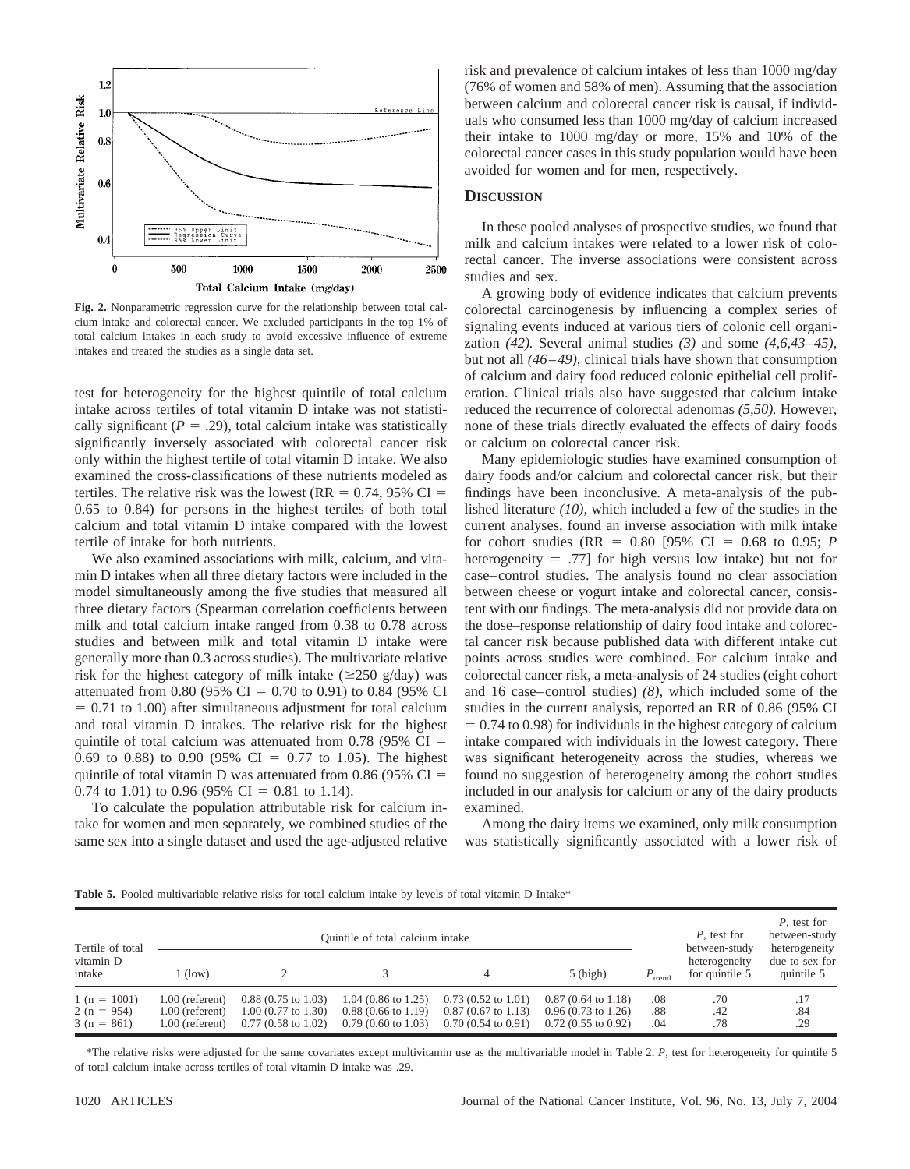

**Fig. 2.** Nonparametric regression curve for the relationship between total calcium intake and colorectal cancer. We excluded participants in the top 1% of total calcium intakes in each study to avoid excessive influence of extreme intakes and treated the studies as a single data set.

test for heterogeneity for the highest quintile of total calcium intake across tertiles of total vitamin D intake was not statistically significant ( $P = .29$ ), total calcium intake was statistically significantly inversely associated with colorectal cancer risk only within the highest tertile of total vitamin D intake. We also examined the cross-classifications of these nutrients modeled as tertiles. The relative risk was the lowest ( $RR = 0.74$ , 95% CI = 0.65 to 0.84) for persons in the highest tertiles of both total calcium and total vitamin D intake compared with the lowest tertile of intake for both nutrients.

We also examined associations with milk, calcium, and vitamin D intakes when all three dietary factors were included in the model simultaneously among the five studies that measured all three dietary factors (Spearman correlation coefficients between milk and total calcium intake ranged from 0.38 to 0.78 across studies and between milk and total vitamin D intake were generally more than 0.3 across studies). The multivariate relative risk for the highest category of milk intake  $(\geq 250 \text{ g/day})$  was attenuated from 0.80 (95% CI = 0.70 to 0.91) to 0.84 (95% CI  $= 0.71$  to 1.00) after simultaneous adjustment for total calcium and total vitamin D intakes. The relative risk for the highest quintile of total calcium was attenuated from 0.78 (95%  $CI =$ 0.69 to 0.88) to 0.90 (95% CI = 0.77 to 1.05). The highest quintile of total vitamin D was attenuated from 0.86 (95%  $CI =$ 0.74 to 1.01) to 0.96 (95% CI = 0.81 to 1.14).

To calculate the population attributable risk for calcium intake for women and men separately, we combined studies of the same sex into a single dataset and used the age-adjusted relative risk and prevalence of calcium intakes of less than 1000 mg/day (76% of women and 58% of men). Assuming that the association between calcium and colorectal cancer risk is causal, if individuals who consumed less than 1000 mg/day of calcium increased their intake to 1000 mg/day or more, 15% and 10% of the colorectal cancer cases in this study population would have been avoided for women and for men, respectively.

#### **DISCUSSION**

In these pooled analyses of prospective studies, we found that milk and calcium intakes were related to a lower risk of colorectal cancer. The inverse associations were consistent across studies and sex.

A growing body of evidence indicates that calcium prevents colorectal carcinogenesis by influencing a complex series of signaling events induced at various tiers of colonic cell organization *(42).* Several animal studies *(3)* and some *(4,6,43–45),* but not all *(46–49),* clinical trials have shown that consumption of calcium and dairy food reduced colonic epithelial cell proliferation. Clinical trials also have suggested that calcium intake reduced the recurrence of colorectal adenomas *(5,50).* However, none of these trials directly evaluated the effects of dairy foods or calcium on colorectal cancer risk.

Many epidemiologic studies have examined consumption of dairy foods and/or calcium and colorectal cancer risk, but their findings have been inconclusive. A meta-analysis of the published literature *(10),* which included a few of the studies in the current analyses, found an inverse association with milk intake for cohort studies ( $RR = 0.80$  [95% CI = 0.68 to 0.95; *P* heterogeneity  $= .77$ ] for high versus low intake) but not for case–control studies. The analysis found no clear association between cheese or yogurt intake and colorectal cancer, consistent with our findings. The meta-analysis did not provide data on the dose–response relationship of dairy food intake and colorectal cancer risk because published data with different intake cut points across studies were combined. For calcium intake and colorectal cancer risk, a meta-analysis of 24 studies (eight cohort and 16 case–control studies) *(8),* which included some of the studies in the current analysis, reported an RR of 0.86 (95% CI  $= 0.74$  to 0.98) for individuals in the highest category of calcium intake compared with individuals in the lowest category. There was significant heterogeneity across the studies, whereas we found no suggestion of heterogeneity among the cohort studies included in our analysis for calcium or any of the dairy products examined.

Among the dairy items we examined, only milk consumption was statistically significantly associated with a lower risk of

Table 5. Pooled multivariable relative risks for total calcium intake by levels of total vitamin D Intake\*

| Tertile of total                              |                                                         |                                                                                                 | Quintile of total calcium intake                                                        |                                                                                                 | P, test for<br>between-study                                                                    | P, test for<br>between-study<br>heterogeneity |                                 |                              |
|-----------------------------------------------|---------------------------------------------------------|-------------------------------------------------------------------------------------------------|-----------------------------------------------------------------------------------------|-------------------------------------------------------------------------------------------------|-------------------------------------------------------------------------------------------------|-----------------------------------------------|---------------------------------|------------------------------|
| vitamin D<br>intake                           | $(\text{low})$                                          |                                                                                                 |                                                                                         | 4                                                                                               | $5$ (high)                                                                                      | $P_{\text{trend}}$                            | heterogeneity<br>for quintile 5 | due to sex for<br>quintile 5 |
| $1(n = 1001)$<br>$2(n = 954)$<br>$3(n = 861)$ | 1.00 (referent)<br>$1.00$ (referent)<br>1.00 (referent) | $0.88(0.75 \text{ to } 1.03)$<br>$1.00(0.77 \text{ to } 1.30)$<br>$0.77(0.58 \text{ to } 1.02)$ | $1.04$ (0.86 to 1.25)<br>$0.88(0.66 \text{ to } 1.19)$<br>$0.79(0.60 \text{ to } 1.03)$ | $0.73(0.52 \text{ to } 1.01)$<br>$0.87(0.67 \text{ to } 1.13)$<br>$0.70(0.54 \text{ to } 0.91)$ | $0.87(0.64 \text{ to } 1.18)$<br>$0.96(0.73 \text{ to } 1.26)$<br>$0.72(0.55 \text{ to } 0.92)$ | .08<br>.88<br>.04                             | .70<br>.42<br>.78               | .84<br>.29                   |

\*The relative risks were adjusted for the same covariates except multivitamin use as the multivariable model in Table 2. *P,* test for heterogeneity for quintile 5 of total calcium intake across tertiles of total vitamin D intake was .29.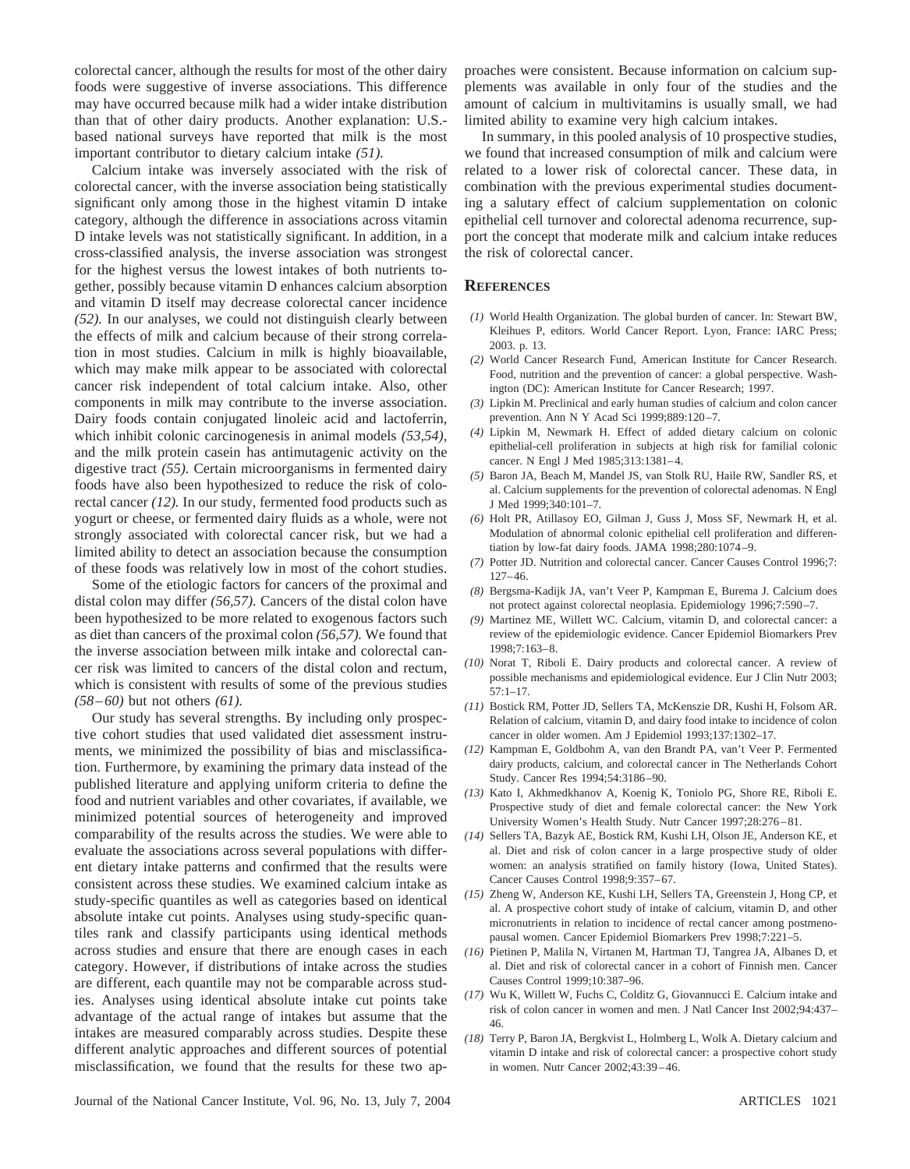colorectal cancer, although the results for most of the other dairy foods were suggestive of inverse associations. This difference may have occurred because milk had a wider intake distribution than that of other dairy products. Another explanation: U.S. based national surveys have reported that milk is the most important contributor to dietary calcium intake *(51).*

Calcium intake was inversely associated with the risk of colorectal cancer, with the inverse association being statistically significant only among those in the highest vitamin D intake category, although the difference in associations across vitamin D intake levels was not statistically significant. In addition, in a cross-classified analysis, the inverse association was strongest for the highest versus the lowest intakes of both nutrients together, possibly because vitamin D enhances calcium absorption and vitamin D itself may decrease colorectal cancer incidence *(52).* In our analyses, we could not distinguish clearly between the effects of milk and calcium because of their strong correlation in most studies. Calcium in milk is highly bioavailable, which may make milk appear to be associated with colorectal cancer risk independent of total calcium intake. Also, other components in milk may contribute to the inverse association. Dairy foods contain conjugated linoleic acid and lactoferrin, which inhibit colonic carcinogenesis in animal models *(53,54),* and the milk protein casein has antimutagenic activity on the digestive tract *(55).* Certain microorganisms in fermented dairy foods have also been hypothesized to reduce the risk of colorectal cancer *(12).* In our study, fermented food products such as yogurt or cheese, or fermented dairy fluids as a whole, were not strongly associated with colorectal cancer risk, but we had a limited ability to detect an association because the consumption of these foods was relatively low in most of the cohort studies.

Some of the etiologic factors for cancers of the proximal and distal colon may differ *(56,57).* Cancers of the distal colon have been hypothesized to be more related to exogenous factors such as diet than cancers of the proximal colon *(56,57).* We found that the inverse association between milk intake and colorectal cancer risk was limited to cancers of the distal colon and rectum, which is consistent with results of some of the previous studies *(58–60)* but not others *(61).*

Our study has several strengths. By including only prospective cohort studies that used validated diet assessment instruments, we minimized the possibility of bias and misclassification. Furthermore, by examining the primary data instead of the published literature and applying uniform criteria to define the food and nutrient variables and other covariates, if available, we minimized potential sources of heterogeneity and improved comparability of the results across the studies. We were able to evaluate the associations across several populations with different dietary intake patterns and confirmed that the results were consistent across these studies. We examined calcium intake as study-specific quantiles as well as categories based on identical absolute intake cut points. Analyses using study-specific quantiles rank and classify participants using identical methods across studies and ensure that there are enough cases in each category. However, if distributions of intake across the studies are different, each quantile may not be comparable across studies. Analyses using identical absolute intake cut points take advantage of the actual range of intakes but assume that the intakes are measured comparably across studies. Despite these different analytic approaches and different sources of potential misclassification, we found that the results for these two approaches were consistent. Because information on calcium supplements was available in only four of the studies and the amount of calcium in multivitamins is usually small, we had limited ability to examine very high calcium intakes.

In summary, in this pooled analysis of 10 prospective studies, we found that increased consumption of milk and calcium were related to a lower risk of colorectal cancer. These data, in combination with the previous experimental studies documenting a salutary effect of calcium supplementation on colonic epithelial cell turnover and colorectal adenoma recurrence, support the concept that moderate milk and calcium intake reduces the risk of colorectal cancer.

#### **REFERENCES**

- *(1)* World Health Organization. The global burden of cancer. In: Stewart BW, Kleihues P, editors. World Cancer Report. Lyon, France: IARC Press; 2003. p. 13.
- *(2)* World Cancer Research Fund, American Institute for Cancer Research. Food, nutrition and the prevention of cancer: a global perspective. Washington (DC): American Institute for Cancer Research; 1997.
- *(3)* Lipkin M. Preclinical and early human studies of calcium and colon cancer prevention. Ann N Y Acad Sci 1999;889:120–7.
- *(4)* Lipkin M, Newmark H. Effect of added dietary calcium on colonic epithelial-cell proliferation in subjects at high risk for familial colonic cancer. N Engl J Med 1985;313:1381–4.
- *(5)* Baron JA, Beach M, Mandel JS, van Stolk RU, Haile RW, Sandler RS, et al. Calcium supplements for the prevention of colorectal adenomas. N Engl J Med 1999;340:101–7.
- *(6)* Holt PR, Atillasoy EO, Gilman J, Guss J, Moss SF, Newmark H, et al. Modulation of abnormal colonic epithelial cell proliferation and differentiation by low-fat dairy foods. JAMA 1998;280:1074–9.
- *(7)* Potter JD. Nutrition and colorectal cancer. Cancer Causes Control 1996;7: 127–46.
- *(8)* Bergsma-Kadijk JA, van't Veer P, Kampman E, Burema J. Calcium does not protect against colorectal neoplasia. Epidemiology 1996;7:590–7.
- *(9)* Martinez ME, Willett WC. Calcium, vitamin D, and colorectal cancer: a review of the epidemiologic evidence. Cancer Epidemiol Biomarkers Prev 1998;7:163–8.
- *(10)* Norat T, Riboli E. Dairy products and colorectal cancer. A review of possible mechanisms and epidemiological evidence. Eur J Clin Nutr 2003;  $57:1 - 17$ .
- *(11)* Bostick RM, Potter JD, Sellers TA, McKenszie DR, Kushi H, Folsom AR. Relation of calcium, vitamin D, and dairy food intake to incidence of colon cancer in older women. Am J Epidemiol 1993;137:1302–17.
- *(12)* Kampman E, Goldbohm A, van den Brandt PA, van't Veer P. Fermented dairy products, calcium, and colorectal cancer in The Netherlands Cohort Study. Cancer Res 1994;54:3186–90.
- *(13)* Kato I, Akhmedkhanov A, Koenig K, Toniolo PG, Shore RE, Riboli E. Prospective study of diet and female colorectal cancer: the New York University Women's Health Study. Nutr Cancer 1997;28:276–81.
- *(14)* Sellers TA, Bazyk AE, Bostick RM, Kushi LH, Olson JE, Anderson KE, et al. Diet and risk of colon cancer in a large prospective study of older women: an analysis stratified on family history (Iowa, United States). Cancer Causes Control 1998;9:357–67.
- *(15)* Zheng W, Anderson KE, Kushi LH, Sellers TA, Greenstein J, Hong CP, et al. A prospective cohort study of intake of calcium, vitamin D, and other micronutrients in relation to incidence of rectal cancer among postmenopausal women. Cancer Epidemiol Biomarkers Prev 1998;7:221–5.
- *(16)* Pietinen P, Malila N, Virtanen M, Hartman TJ, Tangrea JA, Albanes D, et al. Diet and risk of colorectal cancer in a cohort of Finnish men. Cancer Causes Control 1999;10:387–96.
- *(17)* Wu K, Willett W, Fuchs C, Colditz G, Giovannucci E. Calcium intake and risk of colon cancer in women and men. J Natl Cancer Inst 2002;94:437– 46.
- *(18)* Terry P, Baron JA, Bergkvist L, Holmberg L, Wolk A. Dietary calcium and vitamin D intake and risk of colorectal cancer: a prospective cohort study in women. Nutr Cancer 2002;43:39–46.